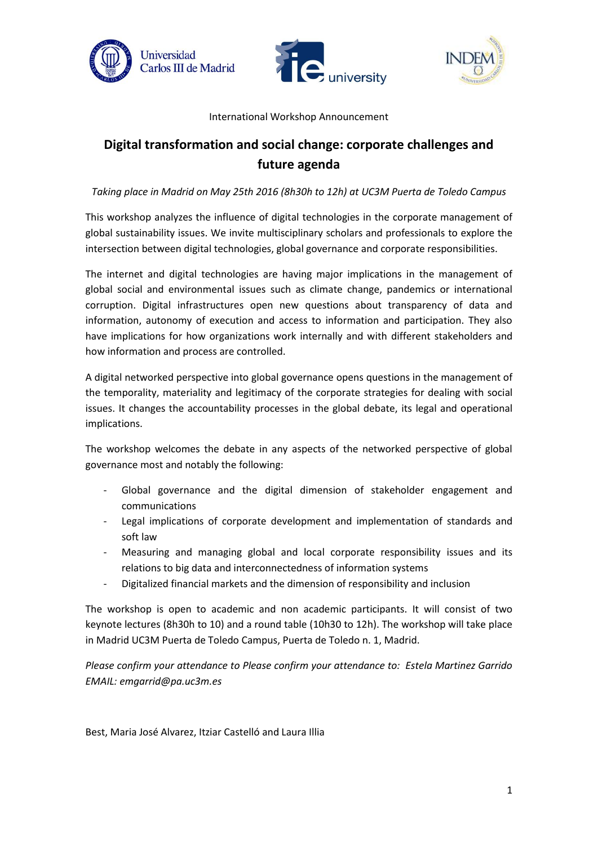





### International Workshop Announcement

## **Digital transformation and social change: corporate challenges and future agenda**

*Taking place in Madrid on May 25th 2016 (8h30h to 12h) at UC3M Puerta de Toledo Campus*

This workshop analyzes the influence of digital technologies in the corporate management of global sustainability issues. We invite multisciplinary scholars and professionals to explore the intersection between digital technologies, global governance and corporate responsibilities.

The internet and digital technologies are having major implications in the management of global social and environmental issues such as climate change, pandemics or international corruption. Digital infrastructures open new questions about transparency of data and information, autonomy of execution and access to information and participation. They also have implications for how organizations work internally and with different stakeholders and how information and process are controlled.

A digital networked perspective into global governance opens questions in the management of the temporality, materiality and legitimacy of the corporate strategies for dealing with social issues. It changes the accountability processes in the global debate, its legal and operational implications.

The workshop welcomes the debate in any aspects of the networked perspective of global governance most and notably the following:

- Global governance and the digital dimension of stakeholder engagement and communications
- Legal implications of corporate development and implementation of standards and soft law
- Measuring and managing global and local corporate responsibility issues and its relations to big data and interconnectedness of information systems
- Digitalized financial markets and the dimension of responsibility and inclusion

The workshop is open to academic and non academic participants. It will consist of two keynote lectures (8h30h to 10) and a round table (10h30 to 12h). The workshop will take place in Madrid UC3M Puerta de Toledo Campus, Puerta de Toledo n. 1, Madrid.

*Please confirm your attendance to Please confirm your attendance to: Estela Martinez Garrido EMAIL: emgarrid@pa.uc3m.es* 

Best, Maria José Alvarez, Itziar Castelló and Laura Illia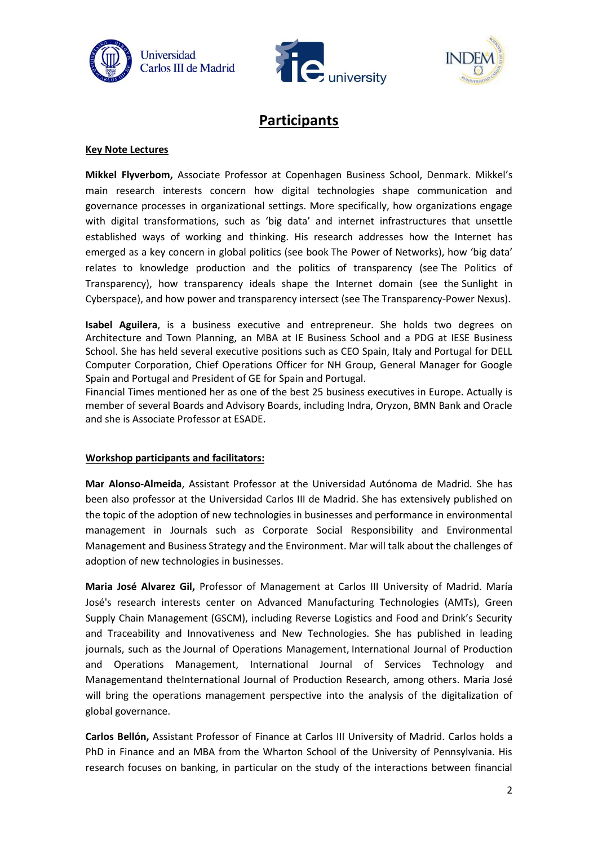





# **Participants**

### **Key Note Lectures**

**Mikkel Flyverbom,** Associate Professor at Copenhagen Business School, Denmark. Mikkel's main research interests concern how digital technologies shape communication and governance processes in organizational settings. More specifically, how organizations engage with digital transformations, such as 'big data' and internet infrastructures that unsettle established ways of working and thinking. His research addresses how the Internet has emerged as a key concern in global politics (see book [The Power of Networks](https://www.academia.edu/689563/My_book_The_Power_of_Networks_-_Organizing_the_Global_Politics_of_the_Internet)), how 'big data' relates to knowledge production and the politics of transparency (see [The Politics of](https://www.academia.edu/5790883/The_Politics_of_Transparency_and_the_Calibration_of_Knowledge_in_the_Digital_Age_co-authored_with_Hans_Krause_Hansen_published_online_first_in_Organization)  [Transparency\)](https://www.academia.edu/5790883/The_Politics_of_Transparency_and_the_Calibration_of_Knowledge_in_the_Digital_Age_co-authored_with_Hans_Krause_Hansen_published_online_first_in_Organization), how transparency ideals shape the Internet domain (see the [Sunlight in](https://www.academia.edu/16530926/Sunlight_in_Cyberspace_On_Transparency_as_a_Form_of_Ordering)  [Cyberspace\)](https://www.academia.edu/16530926/Sunlight_in_Cyberspace_On_Transparency_as_a_Form_of_Ordering), and how power and transparency intersect (see [The Transparency-Power Nexus\)](https://www.academia.edu/14872664/The_Transparency_Power_Nexus_Observational_and_Regularizing_Control).

**Isabel Aguilera**, is a business executive and entrepreneur. She holds two degrees on Architecture and Town Planning, an MBA at IE Business School and a PDG at IESE Business School. She has held several executive positions such as CEO Spain, Italy and Portugal for DELL Computer Corporation, Chief Operations Officer for NH Group, General Manager for Google Spain and Portugal and President of GE for Spain and Portugal.

Financial Times mentioned her as one of the best 25 business executives in Europe. Actually is member of several Boards and Advisory Boards, including Indra, Oryzon, BMN Bank and Oracle and she is Associate Professor at ESADE.

#### **Workshop participants and facilitators:**

**Mar Alonso-Almeida**, Assistant Professor at the Universidad Autónoma de Madrid. She has been also professor at the Universidad Carlos III de Madrid. She has extensively published on the topic of the adoption of new technologies in businesses and performance in environmental management in Journals such as Corporate Social Responsibility and Environmental Management and Business Strategy and the Environment. Mar will talk about the challenges of adoption of new technologies in businesses.

**Maria José Alvarez Gil,** Professor of Management at Carlos III University of Madrid. María José's research interests center on Advanced Manufacturing Technologies (AMTs), Green Supply Chain Management (GSCM), including Reverse Logistics and Food and Drink's Security and Traceability and Innovativeness and New Technologies. She has published in leading journals, such as the Journal of Operations Management, International Journal of Production and Operations Management, International Journal of Services Technology and Managementand theInternational Journal of Production Research, among others. Maria José will bring the operations management perspective into the analysis of the digitalization of global governance.

**Carlos Bellón,** Assistant Professor of Finance at Carlos III University of Madrid. Carlos holds a PhD in Finance and an MBA from the Wharton School of the University of Pennsylvania. His research focuses on banking, in particular on the study of the interactions between financial